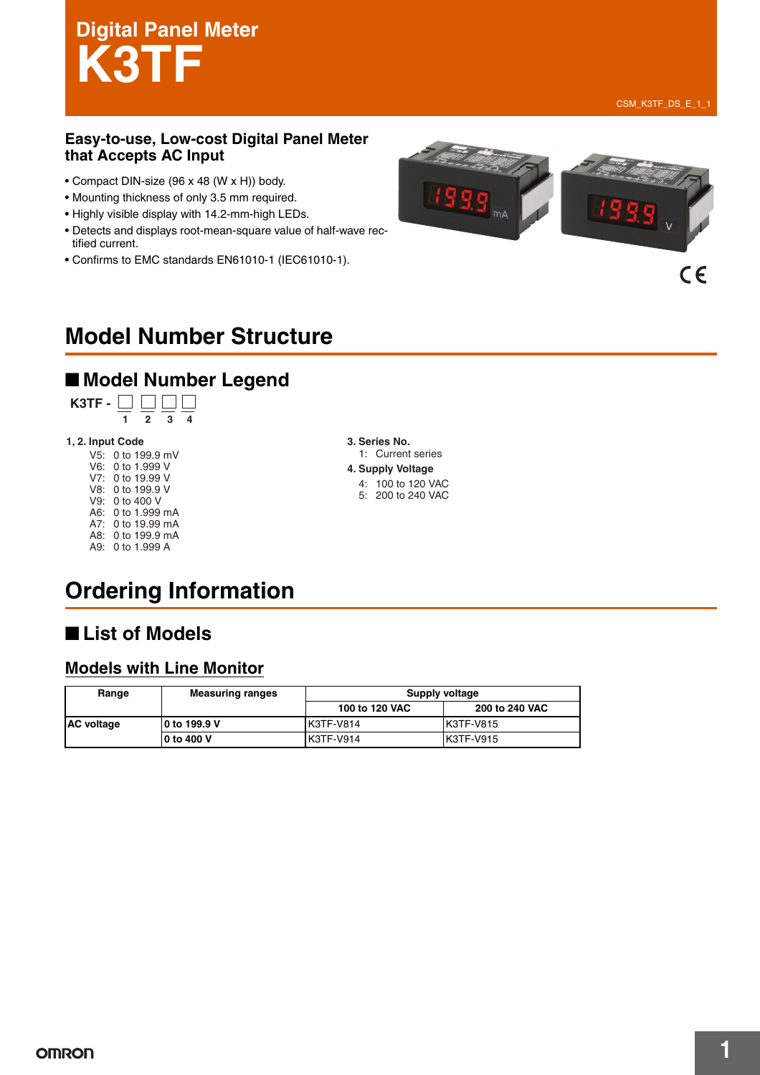# **Digital Panel Meter K3TF**

 $C \in$ 

#### **Easy-to-use, Low-cost Digital Panel Meter that Accepts AC Input**

- Compact DIN-size (96 x 48 (W x H)) body.
- Mounting thickness of only 3.5 mm required.
- Highly visible display with 14.2-mm-high LEDs.
- Detects and displays root-mean-square value of half-wave rectified current.
- Confirms to EMC standards EN61010-1 (IEC61010-1).



# **Model Number Structure**

## ■ **Model Number Legend**



#### **1, 2. Input Code 3. Series No.**

V5: 0 to 199.9 mV V6: 0 to 1.999 V V7: 0 to 19.99 V V8: 0 to 199.9 V V9: 0 to 400 V A6: 0 to 1.999 mA A7: 0 to 19.99 mA A8: 0 to 199.9 mA A9: 0 to 1.999 A

1: Current series **4. Supply Voltage** 4: 100 to 120 VAC 5: 200 to 240 VAC

# **Ordering Information**

## ■ List of Models

#### **Models with Line Monitor**

| Range             | <b>Measuring ranges</b> | Supply voltage |                |  |
|-------------------|-------------------------|----------------|----------------|--|
|                   |                         | 100 to 120 VAC | 200 to 240 VAC |  |
| <b>AC voltage</b> | 10 to 199.9 V           | K3TF-V814      | K3TF-V815      |  |
|                   | 10 to 400 V             | K3TF-V914      | K3TF-V915      |  |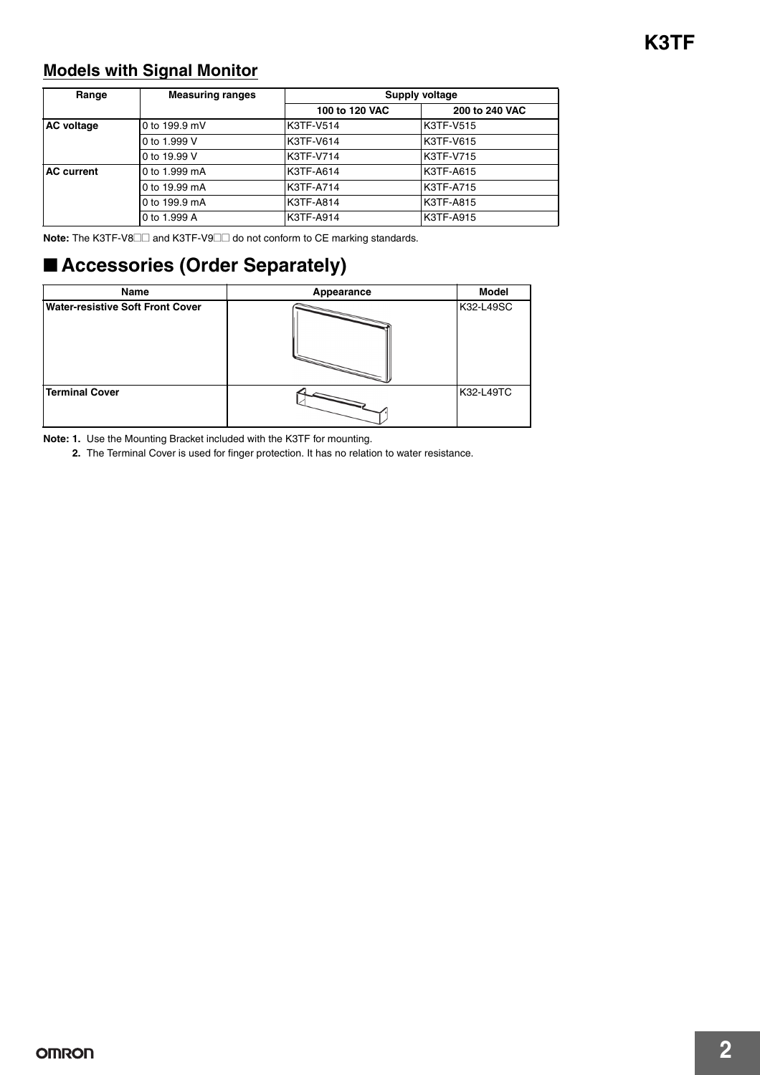#### **Models with Signal Monitor**

| Range             | <b>Measuring ranges</b> | Supply voltage |                  |  |
|-------------------|-------------------------|----------------|------------------|--|
|                   |                         | 100 to 120 VAC | 200 to 240 VAC   |  |
| <b>AC</b> voltage | 0 to 199.9 mV           | K3TF-V514      | <b>K3TF-V515</b> |  |
|                   | 0 to 1.999 V            | K3TF-V614      | K3TF-V615        |  |
|                   | 0 to 19.99 V            | K3TF-V714      | K3TF-V715        |  |
| <b>AC</b> current | 0 to 1.999 mA           | K3TF-A614      | K3TF-A615        |  |
|                   | 0 to 19.99 mA           | K3TF-A714      | <b>K3TF-A715</b> |  |
|                   | 0 to 199.9 mA           | K3TF-A814      | K3TF-A815        |  |
|                   | 0 to 1.999 A            | K3TF-A914      | K3TF-A915        |  |

**Note:** The K3TF-V8□□ and K3TF-V9□□ do not conform to CE marking standards.

## ■ **Accessories (Order Separately)**

| Name                             | Appearance | <b>Model</b> |
|----------------------------------|------------|--------------|
| Water-resistive Soft Front Cover |            | K32-L49SC    |
| <b>Terminal Cover</b>            |            | K32-L49TC    |

**Note: 1.** Use the Mounting Bracket included with the K3TF for mounting.

**2.** The Terminal Cover is used for finger protection. It has no relation to water resistance.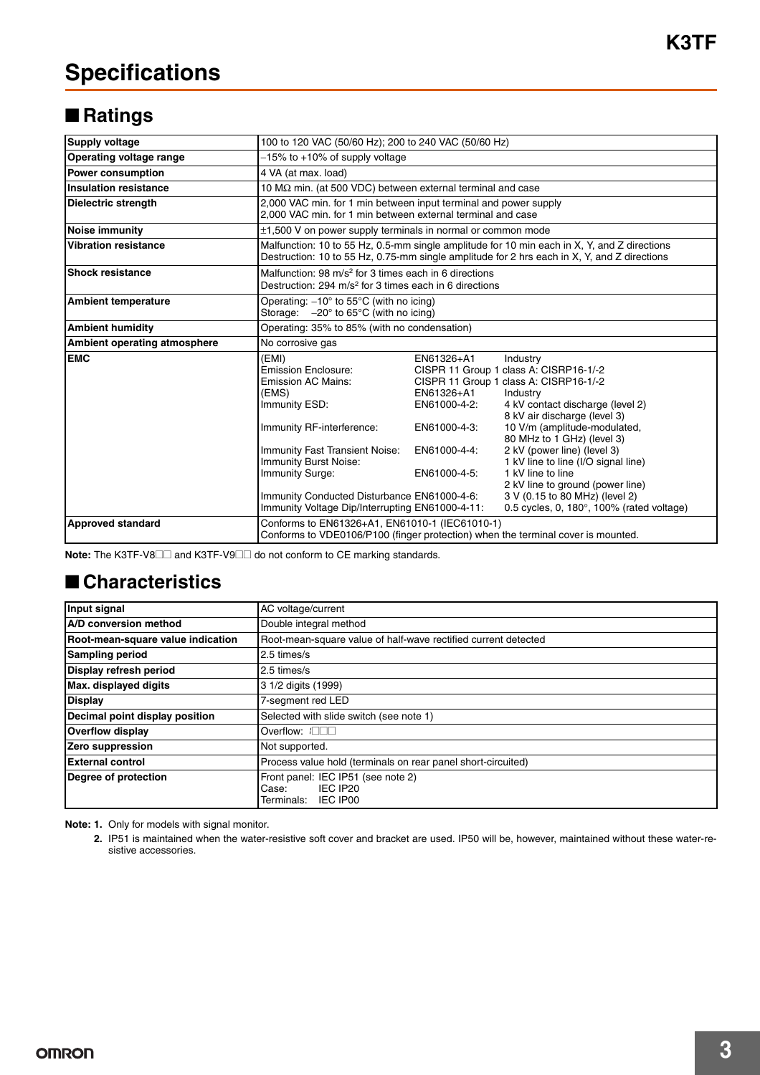## ■ **Ratings**

| <b>Supply voltage</b>        | 100 to 120 VAC (50/60 Hz); 200 to 240 VAC (50/60 Hz)                                                                                                                                                                                                                                                    |                                                                                          |                                                                                                                                                                                                                                                                                                                                                                                                                                                                     |  |  |
|------------------------------|---------------------------------------------------------------------------------------------------------------------------------------------------------------------------------------------------------------------------------------------------------------------------------------------------------|------------------------------------------------------------------------------------------|---------------------------------------------------------------------------------------------------------------------------------------------------------------------------------------------------------------------------------------------------------------------------------------------------------------------------------------------------------------------------------------------------------------------------------------------------------------------|--|--|
| Operating voltage range      | -15% to +10% of supply voltage                                                                                                                                                                                                                                                                          |                                                                                          |                                                                                                                                                                                                                                                                                                                                                                                                                                                                     |  |  |
| <b>Power consumption</b>     | 4 VA (at max. load)                                                                                                                                                                                                                                                                                     |                                                                                          |                                                                                                                                                                                                                                                                                                                                                                                                                                                                     |  |  |
| <b>Insulation resistance</b> |                                                                                                                                                                                                                                                                                                         | 10 $\text{M}\Omega$ min. (at 500 VDC) between external terminal and case                 |                                                                                                                                                                                                                                                                                                                                                                                                                                                                     |  |  |
| <b>Dielectric strength</b>   | 2,000 VAC min. for 1 min between input terminal and power supply<br>2,000 VAC min. for 1 min between external terminal and case                                                                                                                                                                         |                                                                                          |                                                                                                                                                                                                                                                                                                                                                                                                                                                                     |  |  |
| <b>Noise immunity</b>        | ±1,500 V on power supply terminals in normal or common mode                                                                                                                                                                                                                                             |                                                                                          |                                                                                                                                                                                                                                                                                                                                                                                                                                                                     |  |  |
| <b>Vibration resistance</b>  | Malfunction: 10 to 55 Hz, 0.5-mm single amplitude for 10 min each in X, Y, and Z directions<br>Destruction: 10 to 55 Hz, 0.75-mm single amplitude for 2 hrs each in X, Y, and Z directions                                                                                                              |                                                                                          |                                                                                                                                                                                                                                                                                                                                                                                                                                                                     |  |  |
| <b>Shock resistance</b>      | Malfunction: 98 m/s <sup>2</sup> for 3 times each in 6 directions<br>Destruction: 294 m/s <sup>2</sup> for 3 times each in 6 directions                                                                                                                                                                 |                                                                                          |                                                                                                                                                                                                                                                                                                                                                                                                                                                                     |  |  |
| <b>Ambient temperature</b>   | Operating: $-10^{\circ}$ to 55 $^{\circ}$ C (with no icing)<br>Storage: $-20^\circ$ to 65 $^\circ$ C (with no icing)                                                                                                                                                                                    |                                                                                          |                                                                                                                                                                                                                                                                                                                                                                                                                                                                     |  |  |
| <b>Ambient humidity</b>      | Operating: 35% to 85% (with no condensation)                                                                                                                                                                                                                                                            |                                                                                          |                                                                                                                                                                                                                                                                                                                                                                                                                                                                     |  |  |
| Ambient operating atmosphere | No corrosive gas                                                                                                                                                                                                                                                                                        |                                                                                          |                                                                                                                                                                                                                                                                                                                                                                                                                                                                     |  |  |
| <b>EMC</b>                   | (EMI)<br>Emission Enclosure:<br><b>Emission AC Mains:</b><br>(EMS)<br>Immunity ESD:<br>Immunity RF-interference:<br>Immunity Fast Transient Noise:<br>Immunity Burst Noise:<br><b>Immunity Surge:</b><br>Immunity Conducted Disturbance EN61000-4-6:<br>Immunity Voltage Dip/Interrupting EN61000-4-11: | EN61326+A1<br>EN61326+A1<br>EN61000-4-2:<br>EN61000-4-3:<br>EN61000-4-4:<br>EN61000-4-5: | Industry<br>CISPR 11 Group 1 class A: CISRP16-1/-2<br>CISPR 11 Group 1 class A: CISRP16-1/-2<br>Industry<br>4 kV contact discharge (level 2)<br>8 kV air discharge (level 3)<br>10 V/m (amplitude-modulated,<br>80 MHz to 1 GHz) (level 3)<br>2 kV (power line) (level 3)<br>1 kV line to line (I/O signal line)<br>1 kV line to line<br>2 kV line to ground (power line)<br>3 V (0.15 to 80 MHz) (level 2)<br>0.5 cycles, 0, $180^\circ$ , $100\%$ (rated voltage) |  |  |
| <b>Approved standard</b>     | Conforms to EN61326+A1, EN61010-1 (IEC61010-1)<br>Conforms to VDE0106/P100 (finger protection) when the terminal cover is mounted.                                                                                                                                                                      |                                                                                          |                                                                                                                                                                                                                                                                                                                                                                                                                                                                     |  |  |

**Note:** The K3TF-V8□□ and K3TF-V9□□ do not conform to CE marking standards.

#### ■ **Characteristics**

| Input signal                                                                            | AC voltage/current                                                             |  |  |
|-----------------------------------------------------------------------------------------|--------------------------------------------------------------------------------|--|--|
| A/D conversion method                                                                   | Double integral method                                                         |  |  |
| Root-mean-square value indication                                                       | Root-mean-square value of half-wave rectified current detected                 |  |  |
| <b>Sampling period</b>                                                                  | 2.5 times/s                                                                    |  |  |
| Display refresh period                                                                  | 2.5 times/s                                                                    |  |  |
| Max. displayed digits                                                                   | 3 1/2 digits (1999)                                                            |  |  |
| <b>Display</b>                                                                          | 7-segment red LED                                                              |  |  |
| Decimal point display position                                                          | Selected with slide switch (see note 1)                                        |  |  |
| <b>Overflow display</b>                                                                 | Overflow: IOOO                                                                 |  |  |
| Zero suppression                                                                        | Not supported.                                                                 |  |  |
| <b>External control</b><br>Process value hold (terminals on rear panel short-circuited) |                                                                                |  |  |
| Degree of protection                                                                    | Front panel: IEC IP51 (see note 2)<br>IEC IP20<br>Case:<br>Terminals: IEC IP00 |  |  |

**Note: 1.** Only for models with signal monitor.

**2.** IP51 is maintained when the water-resistive soft cover and bracket are used. IP50 will be, however, maintained without these water-resistive accessories.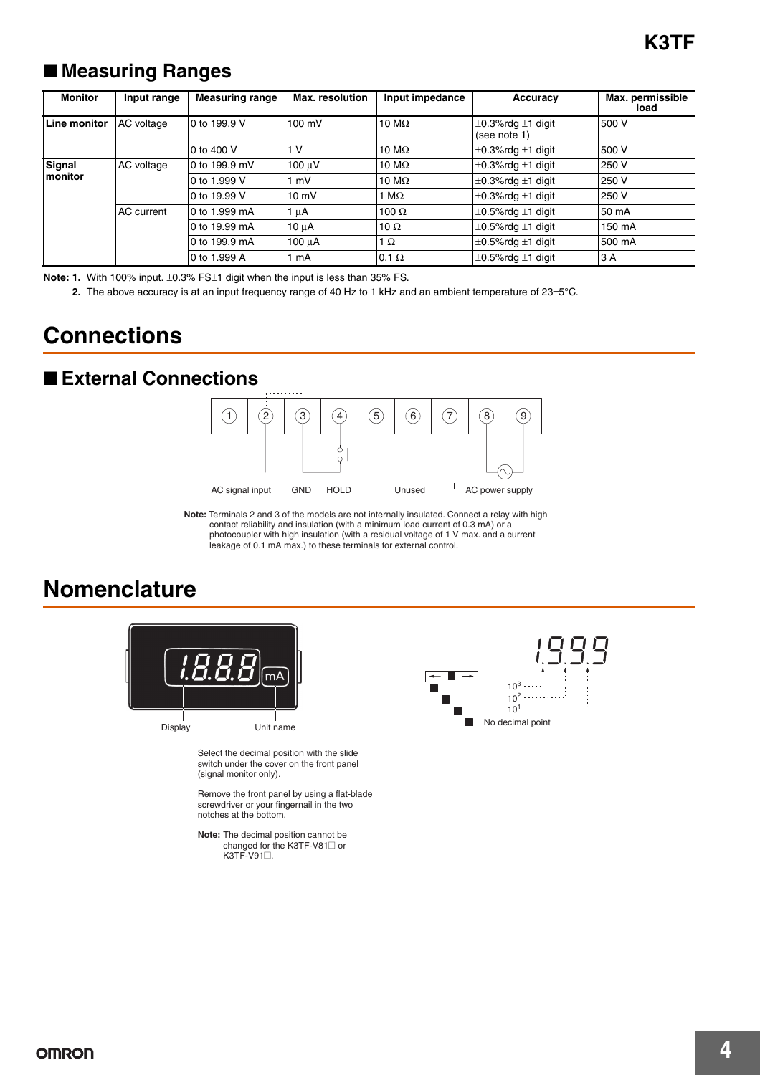## ■ **Measuring Ranges**

| <b>Monitor</b>            | Input range       | <b>Measuring range</b> | <b>Max.</b> resolution | Input impedance | Accuracy                                    | Max. permissible<br>load |
|---------------------------|-------------------|------------------------|------------------------|-----------------|---------------------------------------------|--------------------------|
| Line monitor              | AC voltage        | 0 to 199.9 V           | $100 \text{ mV}$       | 10 M $\Omega$   | $\pm$ 0.3%rdg $\pm$ 1 digit<br>(see note 1) | 500 V                    |
|                           |                   | 0 to 400 V             | 1 V                    | 10 M $\Omega$   | $\pm$ 0.3%rdg $\pm$ 1 digit                 | 500 V                    |
| Signal<br><b>Imonitor</b> | AC voltage        | 0 to 199.9 mV          | 100 µV                 | 10 M $\Omega$   | $\pm 0.3\%$ rdg $\pm 1$ digit               | 250 V                    |
|                           |                   | 0 to 1.999 V           | 1 mV                   | 10 M $\Omega$   | $\pm$ 0.3%rdg $\pm$ 1 digit                 | 250 V                    |
|                           |                   | 0 to 19.99 V           | $10 \text{ mV}$        | $M\Omega$       | $\pm$ 0.3%rdg $\pm$ 1 digit                 | 250 V                    |
|                           | <b>AC</b> current | 0 to 1.999 mA          | $1 \mu A$              | 100 $\Omega$    | $\pm$ 0.5%rdg $\pm$ 1 digit                 | 50 mA                    |
|                           |                   | 0 to 19.99 mA          | $10 \mu A$             | 10 $\Omega$     | $\pm$ 0.5%rdg $\pm$ 1 digit                 | 150 mA                   |
|                           |                   | 0 to 199.9 mA          | $100 \mu A$            | 1 $\Omega$      | $\pm$ 0.5%rdg $\pm$ 1 digit                 | 500 mA                   |
|                           |                   | 0 to 1.999 A           | mA                     | $0.1 \Omega$    | $\pm$ 0.5%rdg $\pm$ 1 digit                 | 3 A                      |

**Note: 1.** With 100% input. ±0.3% FS±1 digit when the input is less than 35% FS.

**2.** The above accuracy is at an input frequency range of 40 Hz to 1 kHz and an ambient temperature of 23±5°C.

## **Connections**

#### ■ **External Connections**



**Note:** Terminals 2 and 3 of the models are not internally insulated. Connect a relay with high contact reliability and insulation (with a minimum load current of 0.3 mA) or a photocoupler with high insulation (with a residual voltage of 1 V max. and a current leakage of 0.1 mA max.) to these terminals for external control.

## **Nomenclature**



Remove the front panel by using a flat-blade screwdriver or your fingernail in the two notches at the bottom.

**Note:** The decimal position cannot be changed for the K3TF-V81<sup>1</sup> or K3TF-V91□.

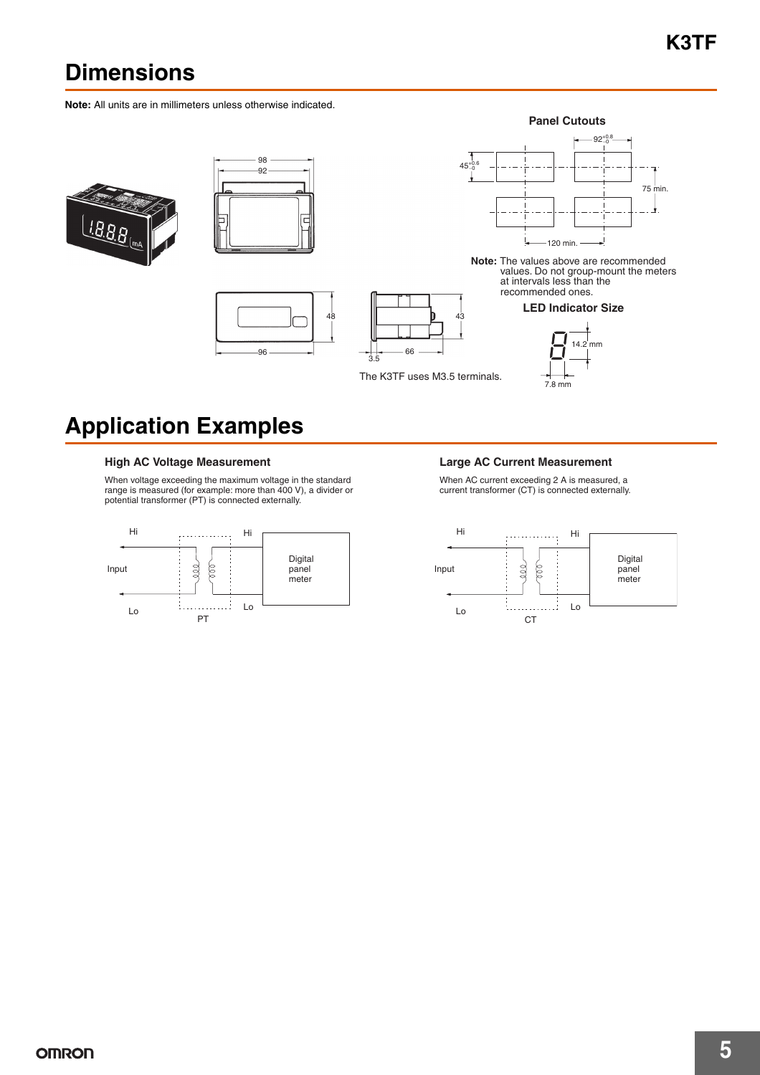# **Dimensions**

**Note:** All units are in millimeters unless otherwise indicated.









The K3TF uses M3.5 terminals.



**Note:** The values above are recommended values. Do not group-mount the meters at intervals less than the recommended ones.





# **Application Examples**

When voltage exceeding the maximum voltage in the standard range is measured (for example: more than 400 V), a divider or potential transformer (PT) is connected externally.



#### High AC Voltage Measurement **Large AC Current Measurement**

When AC current exceeding 2 A is measured, a current transformer (CT) is connected externally.